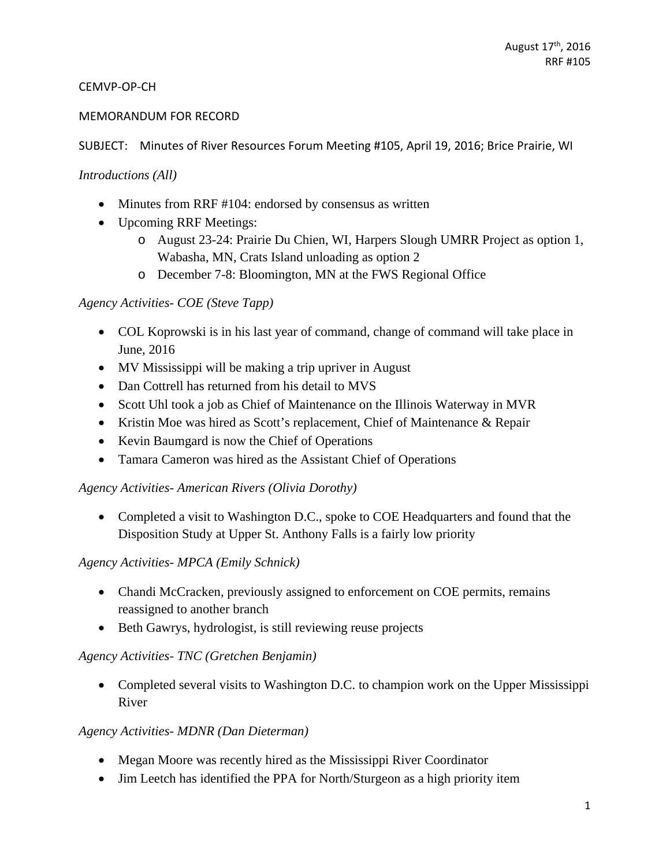### CEMVP‐OP‐CH

#### MEMORANDUM FOR RECORD

#### SUBJECT: Minutes of River Resources Forum Meeting #105, April 19, 2016; Brice Prairie, WI

#### *Introductions (All)*

- Minutes from RRF #104: endorsed by consensus as written
- Upcoming RRF Meetings:
	- o August 23-24: Prairie Du Chien, WI, Harpers Slough UMRR Project as option 1, Wabasha, MN, Crats Island unloading as option 2
	- o December 7-8: Bloomington, MN at the FWS Regional Office

### *Agency Activities- COE (Steve Tapp)*

- COL Koprowski is in his last year of command, change of command will take place in June, 2016
- MV Mississippi will be making a trip upriver in August
- Dan Cottrell has returned from his detail to MVS
- Scott Uhl took a job as Chief of Maintenance on the Illinois Waterway in MVR
- Kristin Moe was hired as Scott's replacement, Chief of Maintenance & Repair
- Kevin Baumgard is now the Chief of Operations
- Tamara Cameron was hired as the Assistant Chief of Operations

#### *Agency Activities- American Rivers (Olivia Dorothy)*

• Completed a visit to Washington D.C., spoke to COE Headquarters and found that the Disposition Study at Upper St. Anthony Falls is a fairly low priority

### *Agency Activities- MPCA (Emily Schnick)*

- Chandi McCracken, previously assigned to enforcement on COE permits, remains reassigned to another branch
- Beth Gawrys, hydrologist, is still reviewing reuse projects

### *Agency Activities- TNC (Gretchen Benjamin)*

• Completed several visits to Washington D.C. to champion work on the Upper Mississippi River

### *Agency Activities- MDNR (Dan Dieterman)*

- Megan Moore was recently hired as the Mississippi River Coordinator
- Jim Leetch has identified the PPA for North/Sturgeon as a high priority item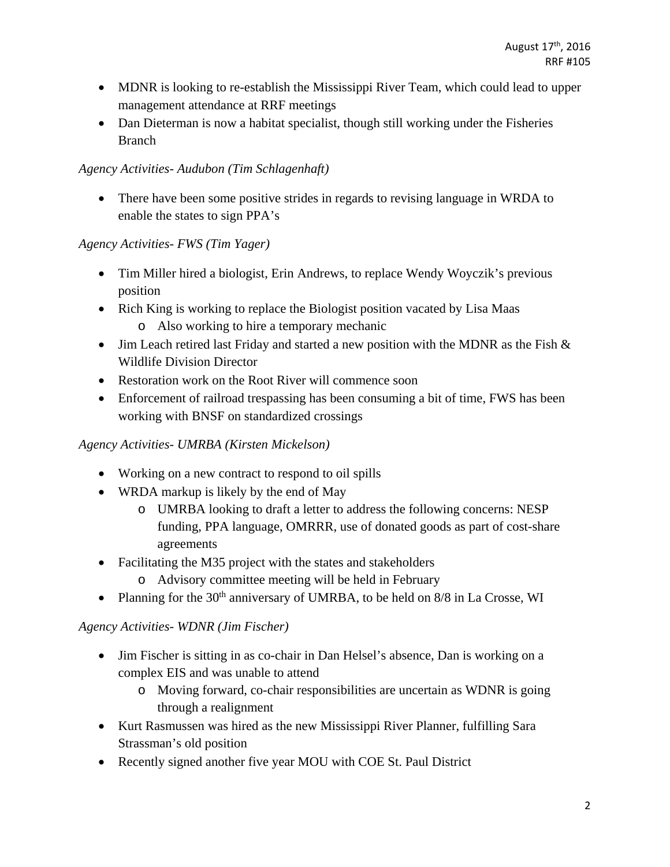- MDNR is looking to re-establish the Mississippi River Team, which could lead to upper management attendance at RRF meetings
- Dan Dieterman is now a habitat specialist, though still working under the Fisheries Branch

## *Agency Activities- Audubon (Tim Schlagenhaft)*

 There have been some positive strides in regards to revising language in WRDA to enable the states to sign PPA's

## *Agency Activities- FWS (Tim Yager)*

- Tim Miller hired a biologist, Erin Andrews, to replace Wendy Woyczik's previous position
- Rich King is working to replace the Biologist position vacated by Lisa Maas
	- o Also working to hire a temporary mechanic
- Jim Leach retired last Friday and started a new position with the MDNR as the Fish  $\&$ Wildlife Division Director
- Restoration work on the Root River will commence soon
- Enforcement of railroad trespassing has been consuming a bit of time, FWS has been working with BNSF on standardized crossings

# *Agency Activities- UMRBA (Kirsten Mickelson)*

- Working on a new contract to respond to oil spills
- WRDA markup is likely by the end of May
	- o UMRBA looking to draft a letter to address the following concerns: NESP funding, PPA language, OMRRR, use of donated goods as part of cost-share agreements
- Facilitating the M35 project with the states and stakeholders
	- o Advisory committee meeting will be held in February
- Planning for the  $30<sup>th</sup>$  anniversary of UMRBA, to be held on  $8/8$  in La Crosse, WI

# *Agency Activities- WDNR (Jim Fischer)*

- Jim Fischer is sitting in as co-chair in Dan Helsel's absence, Dan is working on a complex EIS and was unable to attend
	- o Moving forward, co-chair responsibilities are uncertain as WDNR is going through a realignment
- Kurt Rasmussen was hired as the new Mississippi River Planner, fulfilling Sara Strassman's old position
- Recently signed another five year MOU with COE St. Paul District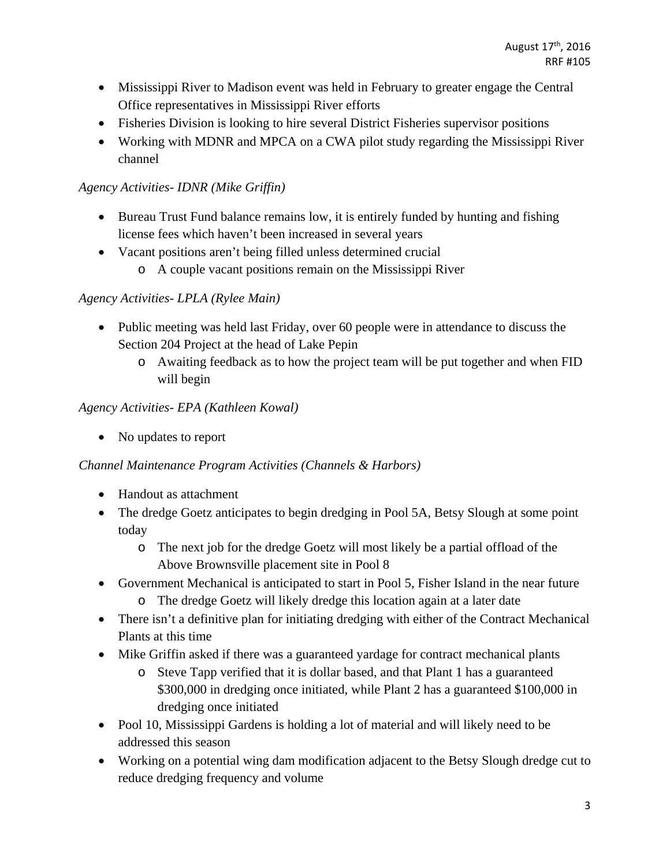- Mississippi River to Madison event was held in February to greater engage the Central Office representatives in Mississippi River efforts
- Fisheries Division is looking to hire several District Fisheries supervisor positions
- Working with MDNR and MPCA on a CWA pilot study regarding the Mississippi River channel

## *Agency Activities- IDNR (Mike Griffin)*

- Bureau Trust Fund balance remains low, it is entirely funded by hunting and fishing license fees which haven't been increased in several years
- Vacant positions aren't being filled unless determined crucial
	- o A couple vacant positions remain on the Mississippi River

## *Agency Activities- LPLA (Rylee Main)*

- Public meeting was held last Friday, over 60 people were in attendance to discuss the Section 204 Project at the head of Lake Pepin
	- o Awaiting feedback as to how the project team will be put together and when FID will begin

## *Agency Activities- EPA (Kathleen Kowal)*

• No updates to report

### *Channel Maintenance Program Activities (Channels & Harbors)*

- Handout as attachment
- The dredge Goetz anticipates to begin dredging in Pool 5A, Betsy Slough at some point today
	- o The next job for the dredge Goetz will most likely be a partial offload of the Above Brownsville placement site in Pool 8
- Government Mechanical is anticipated to start in Pool 5, Fisher Island in the near future
	- o The dredge Goetz will likely dredge this location again at a later date
- There isn't a definitive plan for initiating dredging with either of the Contract Mechanical Plants at this time
- Mike Griffin asked if there was a guaranteed yardage for contract mechanical plants
	- o Steve Tapp verified that it is dollar based, and that Plant 1 has a guaranteed \$300,000 in dredging once initiated, while Plant 2 has a guaranteed \$100,000 in dredging once initiated
- Pool 10, Mississippi Gardens is holding a lot of material and will likely need to be addressed this season
- Working on a potential wing dam modification adjacent to the Betsy Slough dredge cut to reduce dredging frequency and volume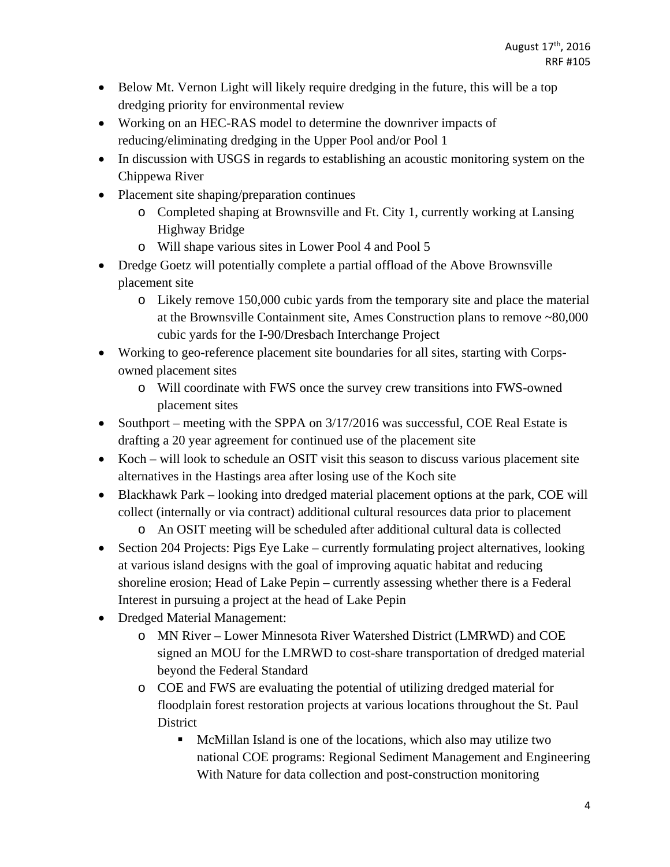- Below Mt. Vernon Light will likely require dredging in the future, this will be a top dredging priority for environmental review
- Working on an HEC-RAS model to determine the downriver impacts of reducing/eliminating dredging in the Upper Pool and/or Pool 1
- In discussion with USGS in regards to establishing an acoustic monitoring system on the Chippewa River
- Placement site shaping/preparation continues
	- o Completed shaping at Brownsville and Ft. City 1, currently working at Lansing Highway Bridge
	- o Will shape various sites in Lower Pool 4 and Pool 5
- Dredge Goetz will potentially complete a partial offload of the Above Brownsville placement site
	- o Likely remove 150,000 cubic yards from the temporary site and place the material at the Brownsville Containment site, Ames Construction plans to remove ~80,000 cubic yards for the I-90/Dresbach Interchange Project
- Working to geo-reference placement site boundaries for all sites, starting with Corpsowned placement sites
	- o Will coordinate with FWS once the survey crew transitions into FWS-owned placement sites
- Southport meeting with the SPPA on 3/17/2016 was successful, COE Real Estate is drafting a 20 year agreement for continued use of the placement site
- Koch will look to schedule an OSIT visit this season to discuss various placement site alternatives in the Hastings area after losing use of the Koch site
- Blackhawk Park looking into dredged material placement options at the park, COE will collect (internally or via contract) additional cultural resources data prior to placement
	- o An OSIT meeting will be scheduled after additional cultural data is collected
- Section 204 Projects: Pigs Eye Lake currently formulating project alternatives, looking at various island designs with the goal of improving aquatic habitat and reducing shoreline erosion; Head of Lake Pepin – currently assessing whether there is a Federal Interest in pursuing a project at the head of Lake Pepin
- Dredged Material Management:
	- o MN River Lower Minnesota River Watershed District (LMRWD) and COE signed an MOU for the LMRWD to cost-share transportation of dredged material beyond the Federal Standard
	- o COE and FWS are evaluating the potential of utilizing dredged material for floodplain forest restoration projects at various locations throughout the St. Paul **District** 
		- McMillan Island is one of the locations, which also may utilize two national COE programs: Regional Sediment Management and Engineering With Nature for data collection and post-construction monitoring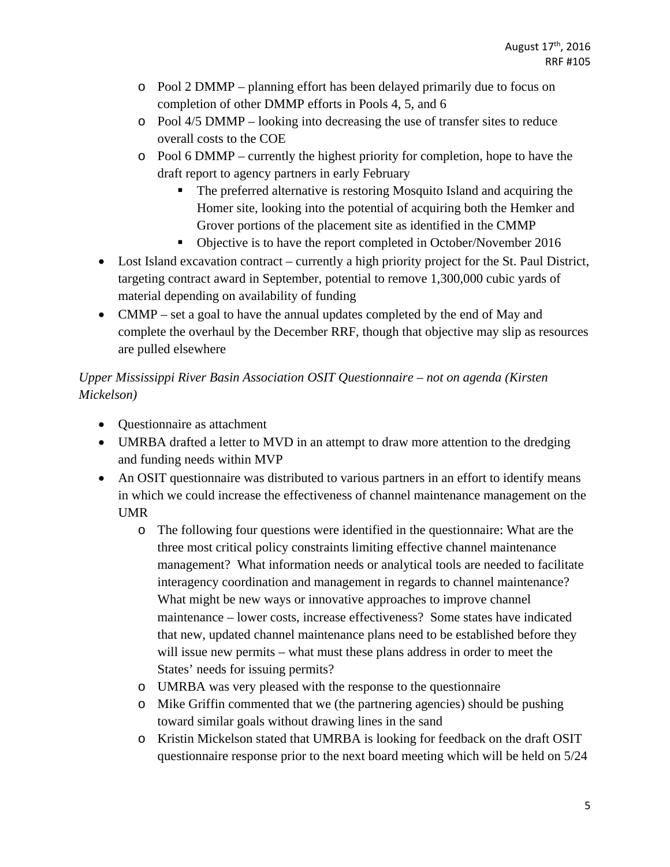- o Pool 2 DMMP planning effort has been delayed primarily due to focus on completion of other DMMP efforts in Pools 4, 5, and 6
- $\circ$  Pool 4/5 DMMP looking into decreasing the use of transfer sites to reduce overall costs to the COE
- o Pool 6 DMMP currently the highest priority for completion, hope to have the draft report to agency partners in early February
	- The preferred alternative is restoring Mosquito Island and acquiring the Homer site, looking into the potential of acquiring both the Hemker and Grover portions of the placement site as identified in the CMMP
	- Objective is to have the report completed in October/November 2016
- Lost Island excavation contract currently a high priority project for the St. Paul District, targeting contract award in September, potential to remove 1,300,000 cubic yards of material depending on availability of funding
- CMMP set a goal to have the annual updates completed by the end of May and complete the overhaul by the December RRF, though that objective may slip as resources are pulled elsewhere

# *Upper Mississippi River Basin Association OSIT Questionnaire – not on agenda (Kirsten Mickelson)*

- Questionnaire as attachment
- UMRBA drafted a letter to MVD in an attempt to draw more attention to the dredging and funding needs within MVP
- An OSIT questionnaire was distributed to various partners in an effort to identify means in which we could increase the effectiveness of channel maintenance management on the UMR
	- o The following four questions were identified in the questionnaire: What are the three most critical policy constraints limiting effective channel maintenance management? What information needs or analytical tools are needed to facilitate interagency coordination and management in regards to channel maintenance? What might be new ways or innovative approaches to improve channel maintenance – lower costs, increase effectiveness? Some states have indicated that new, updated channel maintenance plans need to be established before they will issue new permits – what must these plans address in order to meet the States' needs for issuing permits?
	- o UMRBA was very pleased with the response to the questionnaire
	- o Mike Griffin commented that we (the partnering agencies) should be pushing toward similar goals without drawing lines in the sand
	- o Kristin Mickelson stated that UMRBA is looking for feedback on the draft OSIT questionnaire response prior to the next board meeting which will be held on 5/24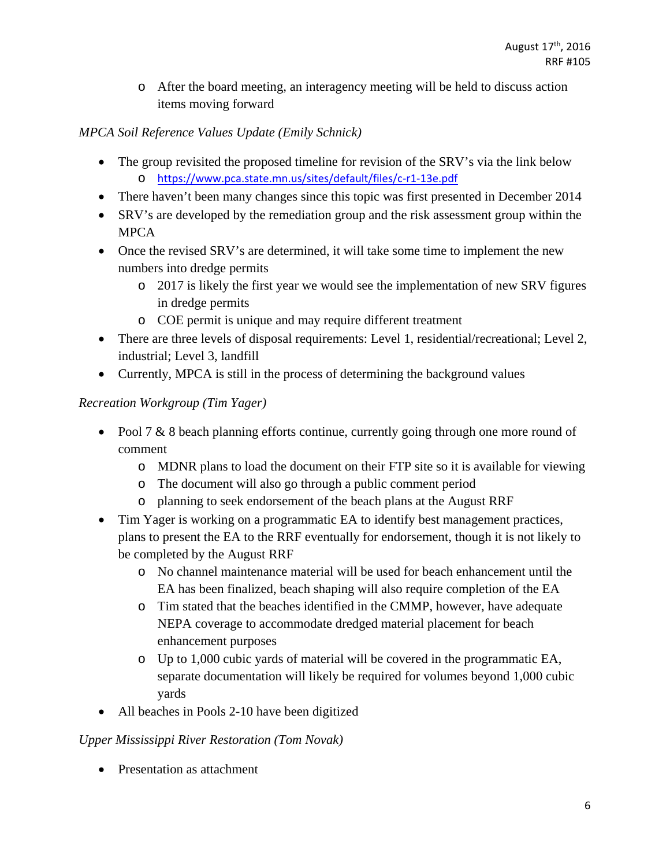o After the board meeting, an interagency meeting will be held to discuss action items moving forward

# *MPCA Soil Reference Values Update (Emily Schnick)*

- The group revisited the proposed timeline for revision of the SRV's via the link below o https://www.pca.state.mn.us/sites/default/files/c‐r1‐13e.pdf
- There haven't been many changes since this topic was first presented in December 2014
- SRV's are developed by the remediation group and the risk assessment group within the MPCA
- Once the revised SRV's are determined, it will take some time to implement the new numbers into dredge permits
	- o 2017 is likely the first year we would see the implementation of new SRV figures in dredge permits
	- o COE permit is unique and may require different treatment
- There are three levels of disposal requirements: Level 1, residential/recreational; Level 2, industrial; Level 3, landfill
- Currently, MPCA is still in the process of determining the background values

## *Recreation Workgroup (Tim Yager)*

- Pool 7 & 8 beach planning efforts continue, currently going through one more round of comment
	- o MDNR plans to load the document on their FTP site so it is available for viewing
	- o The document will also go through a public comment period
	- o planning to seek endorsement of the beach plans at the August RRF
- Tim Yager is working on a programmatic EA to identify best management practices, plans to present the EA to the RRF eventually for endorsement, though it is not likely to be completed by the August RRF
	- o No channel maintenance material will be used for beach enhancement until the EA has been finalized, beach shaping will also require completion of the EA
	- o Tim stated that the beaches identified in the CMMP, however, have adequate NEPA coverage to accommodate dredged material placement for beach enhancement purposes
	- o Up to 1,000 cubic yards of material will be covered in the programmatic EA, separate documentation will likely be required for volumes beyond 1,000 cubic yards
- All beaches in Pools 2-10 have been digitized

### *Upper Mississippi River Restoration (Tom Novak)*

• Presentation as attachment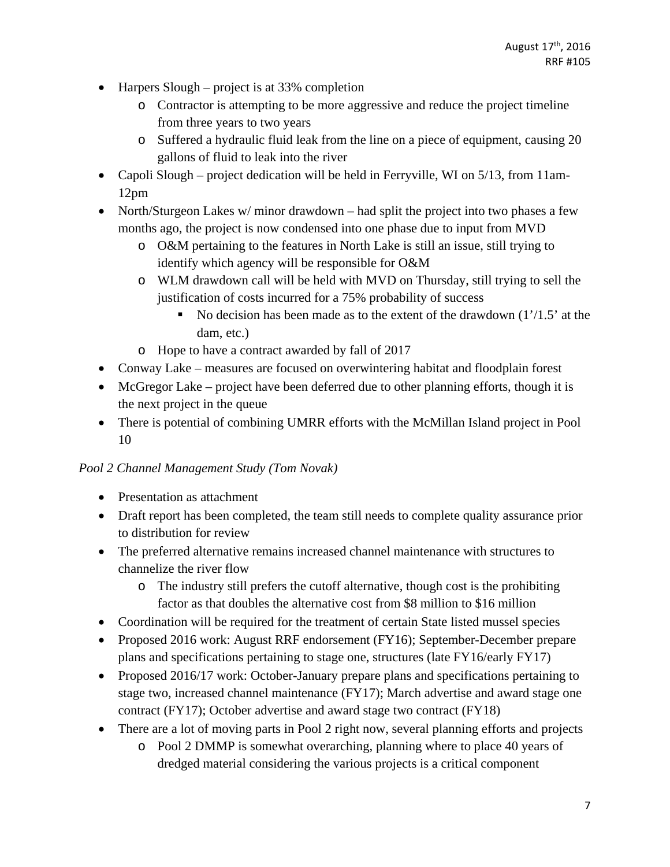- $\bullet$  Harpers Slough project is at 33% completion
	- o Contractor is attempting to be more aggressive and reduce the project timeline from three years to two years
	- o Suffered a hydraulic fluid leak from the line on a piece of equipment, causing 20 gallons of fluid to leak into the river
- Capoli Slough project dedication will be held in Ferryville, WI on 5/13, from 11am-12pm
- North/Sturgeon Lakes w/ minor drawdown had split the project into two phases a few months ago, the project is now condensed into one phase due to input from MVD
	- o O&M pertaining to the features in North Lake is still an issue, still trying to identify which agency will be responsible for O&M
	- o WLM drawdown call will be held with MVD on Thursday, still trying to sell the justification of costs incurred for a 75% probability of success
		- No decision has been made as to the extent of the drawdown (1'/1.5' at the dam, etc.)
	- o Hope to have a contract awarded by fall of 2017
- Conway Lake measures are focused on overwintering habitat and floodplain forest
- McGregor Lake project have been deferred due to other planning efforts, though it is the next project in the queue
- There is potential of combining UMRR efforts with the McMillan Island project in Pool 10

### *Pool 2 Channel Management Study (Tom Novak)*

- Presentation as attachment
- Draft report has been completed, the team still needs to complete quality assurance prior to distribution for review
- The preferred alternative remains increased channel maintenance with structures to channelize the river flow
	- o The industry still prefers the cutoff alternative, though cost is the prohibiting factor as that doubles the alternative cost from \$8 million to \$16 million
- Coordination will be required for the treatment of certain State listed mussel species
- Proposed 2016 work: August RRF endorsement (FY16); September-December prepare plans and specifications pertaining to stage one, structures (late FY16/early FY17)
- Proposed 2016/17 work: October-January prepare plans and specifications pertaining to stage two, increased channel maintenance (FY17); March advertise and award stage one contract (FY17); October advertise and award stage two contract (FY18)
- There are a lot of moving parts in Pool 2 right now, several planning efforts and projects
	- o Pool 2 DMMP is somewhat overarching, planning where to place 40 years of dredged material considering the various projects is a critical component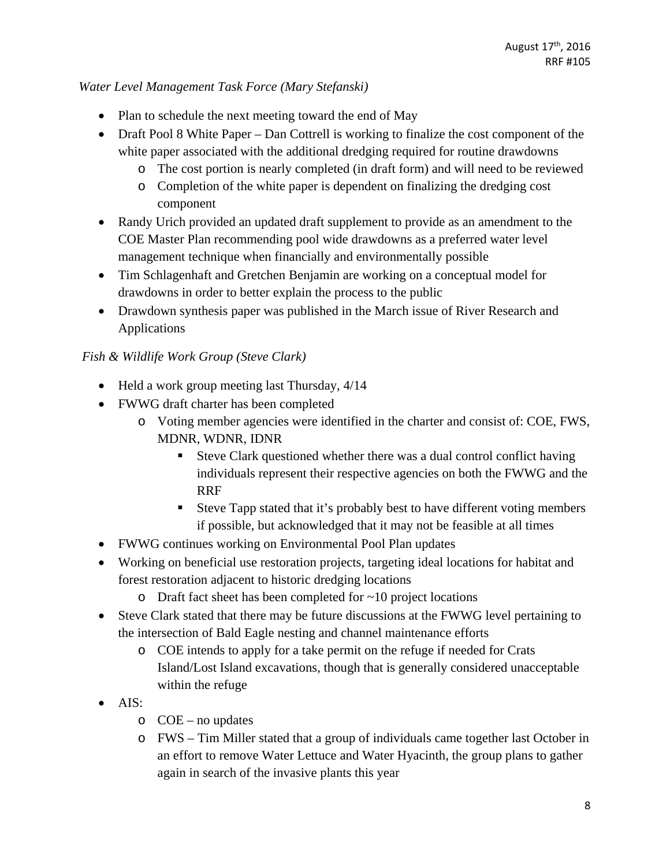### *Water Level Management Task Force (Mary Stefanski)*

- Plan to schedule the next meeting toward the end of May
- Draft Pool 8 White Paper Dan Cottrell is working to finalize the cost component of the white paper associated with the additional dredging required for routine drawdowns
	- o The cost portion is nearly completed (in draft form) and will need to be reviewed
	- o Completion of the white paper is dependent on finalizing the dredging cost component
- Randy Urich provided an updated draft supplement to provide as an amendment to the COE Master Plan recommending pool wide drawdowns as a preferred water level management technique when financially and environmentally possible
- Tim Schlagenhaft and Gretchen Benjamin are working on a conceptual model for drawdowns in order to better explain the process to the public
- Drawdown synthesis paper was published in the March issue of River Research and Applications

## *Fish & Wildlife Work Group (Steve Clark)*

- Held a work group meeting last Thursday,  $4/14$
- FWWG draft charter has been completed
	- o Voting member agencies were identified in the charter and consist of: COE, FWS, MDNR, WDNR, IDNR
		- Steve Clark questioned whether there was a dual control conflict having individuals represent their respective agencies on both the FWWG and the RRF
		- Steve Tapp stated that it's probably best to have different voting members if possible, but acknowledged that it may not be feasible at all times
- FWWG continues working on Environmental Pool Plan updates
- Working on beneficial use restoration projects, targeting ideal locations for habitat and forest restoration adjacent to historic dredging locations
	- $\circ$  Draft fact sheet has been completed for  $\sim$  10 project locations
- Steve Clark stated that there may be future discussions at the FWWG level pertaining to the intersection of Bald Eagle nesting and channel maintenance efforts
	- o COE intends to apply for a take permit on the refuge if needed for Crats Island/Lost Island excavations, though that is generally considered unacceptable within the refuge
- AIS:
	- $O$  COE no updates
	- o FWS Tim Miller stated that a group of individuals came together last October in an effort to remove Water Lettuce and Water Hyacinth, the group plans to gather again in search of the invasive plants this year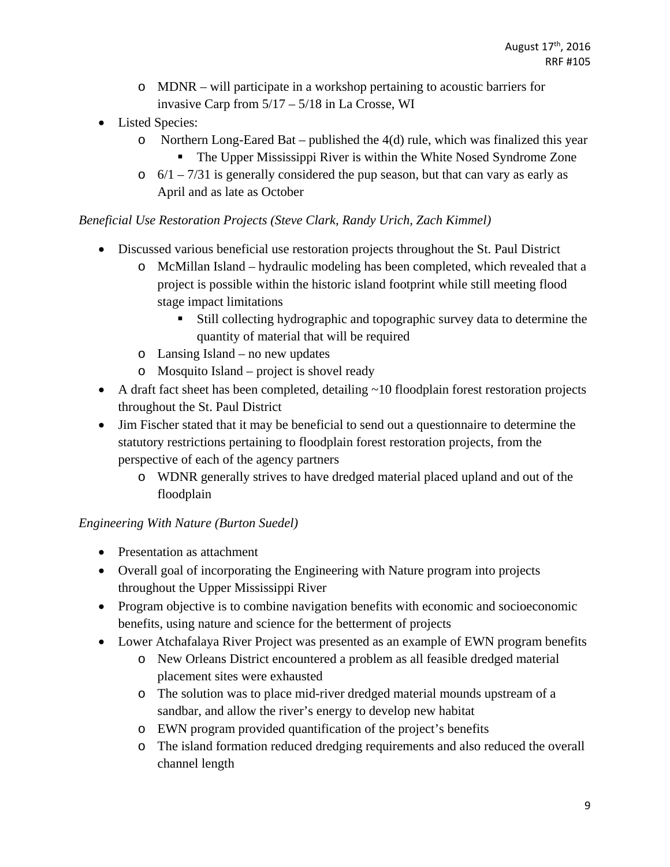- o MDNR will participate in a workshop pertaining to acoustic barriers for invasive Carp from 5/17 – 5/18 in La Crosse, WI
- Listed Species:
	- $\circ$  Northern Long-Eared Bat published the 4(d) rule, which was finalized this year
		- **The Upper Mississippi River is within the White Nosed Syndrome Zone**
	- $\circ$  6/1 7/31 is generally considered the pup season, but that can vary as early as April and as late as October

## *Beneficial Use Restoration Projects (Steve Clark, Randy Urich, Zach Kimmel)*

- Discussed various beneficial use restoration projects throughout the St. Paul District
	- o McMillan Island hydraulic modeling has been completed, which revealed that a project is possible within the historic island footprint while still meeting flood stage impact limitations
		- Still collecting hydrographic and topographic survey data to determine the quantity of material that will be required
	- o Lansing Island no new updates
	- o Mosquito Island project is shovel ready
- A draft fact sheet has been completed, detailing ~10 floodplain forest restoration projects throughout the St. Paul District
- Jim Fischer stated that it may be beneficial to send out a questionnaire to determine the statutory restrictions pertaining to floodplain forest restoration projects, from the perspective of each of the agency partners
	- o WDNR generally strives to have dredged material placed upland and out of the floodplain

# *Engineering With Nature (Burton Suedel)*

- Presentation as attachment
- Overall goal of incorporating the Engineering with Nature program into projects throughout the Upper Mississippi River
- Program objective is to combine navigation benefits with economic and socioeconomic benefits, using nature and science for the betterment of projects
- Lower Atchafalaya River Project was presented as an example of EWN program benefits
	- o New Orleans District encountered a problem as all feasible dredged material placement sites were exhausted
	- o The solution was to place mid-river dredged material mounds upstream of a sandbar, and allow the river's energy to develop new habitat
	- o EWN program provided quantification of the project's benefits
	- o The island formation reduced dredging requirements and also reduced the overall channel length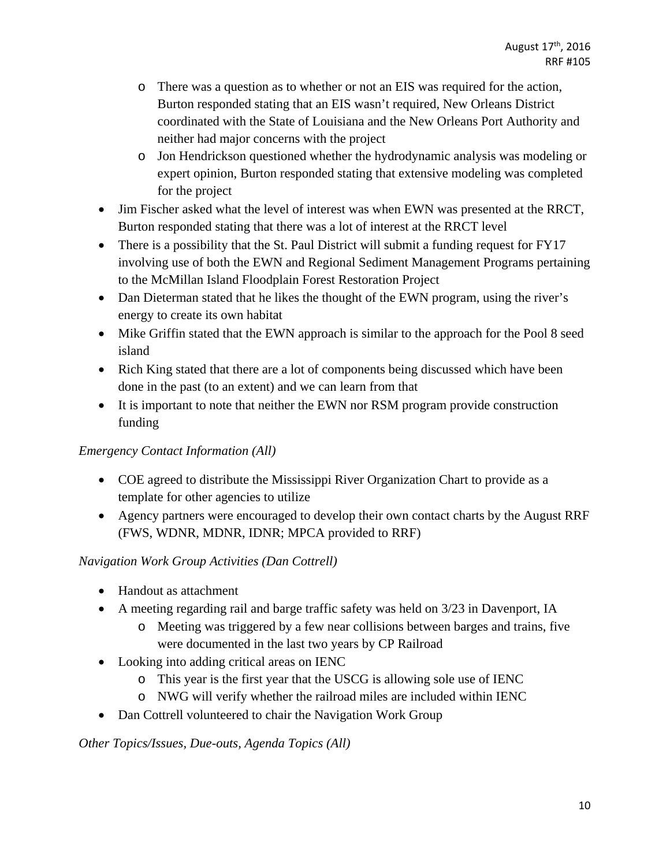- o There was a question as to whether or not an EIS was required for the action, Burton responded stating that an EIS wasn't required, New Orleans District coordinated with the State of Louisiana and the New Orleans Port Authority and neither had major concerns with the project
- o Jon Hendrickson questioned whether the hydrodynamic analysis was modeling or expert opinion, Burton responded stating that extensive modeling was completed for the project
- Jim Fischer asked what the level of interest was when EWN was presented at the RRCT, Burton responded stating that there was a lot of interest at the RRCT level
- There is a possibility that the St. Paul District will submit a funding request for FY17 involving use of both the EWN and Regional Sediment Management Programs pertaining to the McMillan Island Floodplain Forest Restoration Project
- Dan Dieterman stated that he likes the thought of the EWN program, using the river's energy to create its own habitat
- Mike Griffin stated that the EWN approach is similar to the approach for the Pool 8 seed island
- Rich King stated that there are a lot of components being discussed which have been done in the past (to an extent) and we can learn from that
- It is important to note that neither the EWN nor RSM program provide construction funding

### *Emergency Contact Information (All)*

- COE agreed to distribute the Mississippi River Organization Chart to provide as a template for other agencies to utilize
- Agency partners were encouraged to develop their own contact charts by the August RRF (FWS, WDNR, MDNR, IDNR; MPCA provided to RRF)

# *Navigation Work Group Activities (Dan Cottrell)*

- Handout as attachment
- A meeting regarding rail and barge traffic safety was held on 3/23 in Davenport, IA
	- o Meeting was triggered by a few near collisions between barges and trains, five were documented in the last two years by CP Railroad
- Looking into adding critical areas on IENC
	- o This year is the first year that the USCG is allowing sole use of IENC
	- o NWG will verify whether the railroad miles are included within IENC
- Dan Cottrell volunteered to chair the Navigation Work Group

*Other Topics/Issues, Due-outs, Agenda Topics (All)*